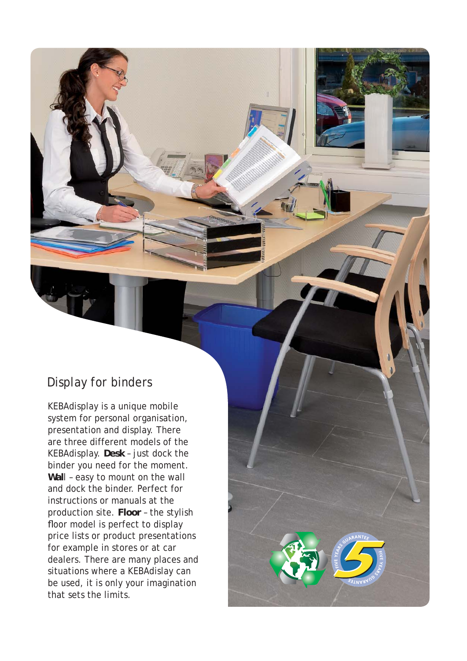## Display for binders

KEBAdisplay is a unique mobile system for personal organisation, presentation and display. There are three different models of the KEBAdisplay. **Desk** – just dock the binder you need for the moment. **Wal**l – easy to mount on the wall and dock the binder. Perfect for instructions or manuals at the production site. **Floor** – the stylish floor model is perfect to display price lists or product presentations for example in stores or at car dealers. There are many places and situations where a KEBAdislay can be used, it is only your imagination that sets the limits.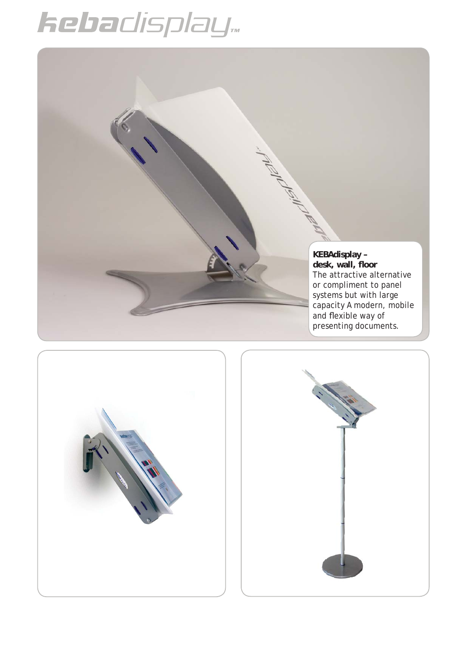## hebadisplay...





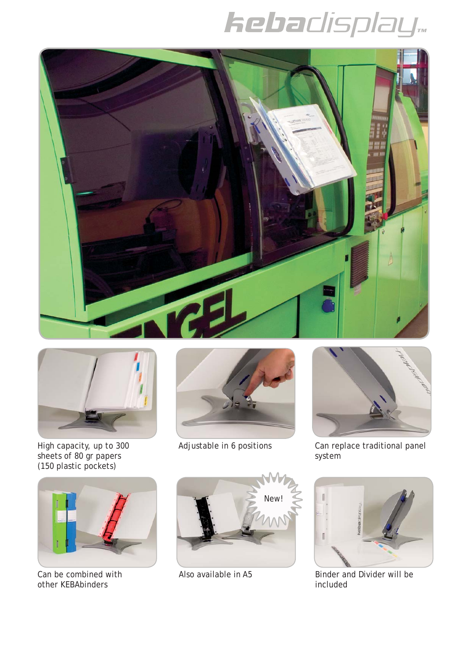## **kebadisplay**





High capacity, up to 300 Adjustable in 6 positions sheets of 80 gr papers (150 plastic pockets)





Can replace traditional panel system



Can be combined with other KEBAbinders





Also available in A5 Binder and Divider will be included